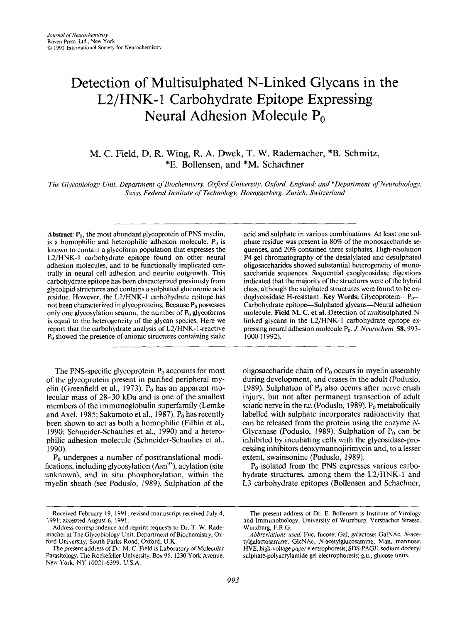# Detection of Multisulphated N-Linked Glycans in the L2/HNK-1 Carbohydrate Epitope Expressing Neural Adhesion Molecule P<sub>0</sub>

M. C. Field, D. R. **Wing,** R. **A. Dwek,** T. **W.** Rademacher, \*B. Schmitz, \*E. Bollensen, and \*M. Schachner

*The Glycobiology Unit, Department of Biochemistry, Oxford University, Oxford, England; and \*Department of Neurobiology, Swiss Federal Institute of Technology, ffoenggerberg, Zurich, Switzerland* 

Abstract: P<sub>0</sub>, the most abundant glycoprotein of PNS myelin, is a homophilic and heterophilic adhesion molecule.  $P_0$  is known to contain a glycoform population that expresses the L2/HNK-1 carbohydrate epitope found on other neural adhesion molecules, and to be functionally implicated centrally in neural cell adhesion and neurite outgrowth. This carbohydrate epitope has been characterized previously from glycolipid structures and contains a sulphated glucuronic acid residue. However, the L2/HNK-1 carbohydrate epitope has not been characterized in glycoproteins. Because  $P_0$  possesses only one glycosylation sequon, the number of  $P_0$  glycoforms is equal to the heterogeneity of the glycan species. Here we report that the carbohydrate analysis of L2/HNK- 1 -reactive **Po** showed the presence of anionic structures containing sialic

The PNS-specific glycoprotein  $P_0$  accounts for most of the glycoprotein present in purified peripheral myelin (Greenfield et al., 1973).  $P_0$  has an apparent molecular mass of 28-30 kDa and is one of the smallest members of the immunoglobulin superfamily (Lemke and Axel, 1985; Sakamoto et al., 1987).  $P_0$  has recently been shown to act as both a homophilic (Filbin et al., 1990; Schneider-Schaulies et al., 1990) and a heterophilic adhesion molecule (Schneider-Schaulies et al., 1990).

 $P_0$  undergoes a number of posttranslational modifications, including glycosylation  $(Asn^{93})$ , acylation (site unknown), and in situ phosphorylation, within the myelin sheath (see Poduslo, 1989). Sulphation of the acid and sulphate in various combinations. At least one sulphate residue was present in 80% of the monosaccharide sequences, and 20% contained three sulphates. High-resolution P4 gel chromatography of the desialylated and desulphated oligosaccharides showed substantial heterogeneity of monosaccharide sequences. Sequential exoglycosidase digestions indicated that the majority of the structures were of the hybrid class, although the sulphated structures were found to be endoglycosidase H-resistant. **Key Words:** Glycoprotein--P<sub>0</sub>--Carbohydrate epitope—Sulphated glycans—Neural adhesion molecule. **Field M. C. et al.** Detection of multisulphated Nlinked glycans in the L2/HNK-l carbohydrate epitope expressing neural adhesion molecule P<sub>0</sub>. *J. Neurochem.* 58, 993-1000 (1992).

oligosaccharide chain of  $P_0$  occurs in myelin assembly during development, and ceases in the adult (Poduslo, 1989). Sulphation of  $P_0$  also occurs after nerve crush injury, but not after permanent transection of adult sciatic nerve in the rat (Poduslo, 1989).  $P_0$  metabolically labelled with sulphate incorporates radioactivity that can be released from the protein using the enzyme *N-*Glycanase (Poduslo, 1989). Sulphation of  $P_0$  can be inhibited by incubating cells with the glycosidase-processing inhibitors deoxymannojirimycin and, to a lesser extent, swainsonine (Poduslo, 1989).

 $P_0$  isolated from the PNS expresses various carbohydrate structures, among them the  $L2/HNK-1$  and L3 carbohydrate epitopes (Bollensen and Schachner,

~ ~~ ~

Received February 19, 1991; revised manuscript received July 4, 1991; accepted August 6, 1991.

Address correspondence and reprint requests to **Dr. T.** W. Rademacher at The Glycobiology Unit, Department of Biochemistry, **Ox**ford University, South Parks Road, Oxford, U.K.

The present address of Dr. M. C. Field is Laboratory of Molecular Parasitology, The Rockefeller University, Box 96, 1230 York Avenue, New *York,* NY 10021-6399, U.S.A.

The present address of Dr. E. Bollensen is Institute of Virology and Immunobiology, University of Wurzburg, Versbacher Strasse, Wurzburg, F.R.G.

*Abbreviations used:* Fuc, fucose; Gal, galactose; GalNAc, N-acetylgalactosamine, GlcNAc, N-acetylglucosamine; Man, mannose: HVE, high-voltage paper electrophoresis; SDS-PAGE, sodium dodecyl sulphate-polyacrylamide gel electrophoresis; g.u., glucose units.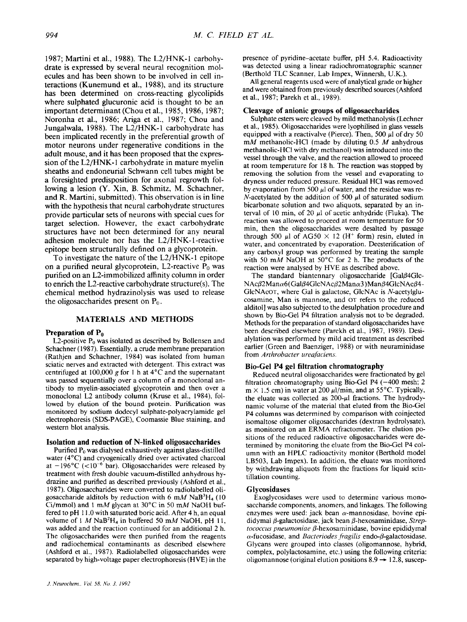1987; Martini et al., 1988). The L2/HNK-l carbohydrate is expressed by several neural recognition molecules and has been shown to be involved in cell interactions (Kunemund et al., 1988), and its structure has been determined on cross-reacting glycolipids where sulphated glucuronic acid is thought to be an important determinant (Chou et al., 1985, 1986, 1987; Noronha et al., 1986; Ariga et al., 1987; Chou and Jungalwala, 1988). The L2/HNK-1 carbohydrate has been implicated recently in the preferential growth of motor neurons under regenerative conditions in the adult mouse, and it has been proposed that the expression of the L2/HNK-I carbohydrate in mature myelin sheaths and endoneurial Schwann cell tubes might be a foresighted predisposition for axonal regrowth following a lesion **(Y.** Xin, **B.** Schmitz, M. Schachner, and R. Martini, submitted). This observation is in line with the hypothesis that neural carbohydrate structures provide particular sets of neurons with special cues for target selection. However, the exact carbohydrate structures have not been determined for any neural adhesion molecule nor has the L2/HNK- 1 -reactive epitope been structurally defined on a glycoprotein.

To investigate the nature of the L2/HNK- 1 epitope on a purified neural glycoprotein, L2-reactive  $P_0$  was purified on an L2-immobilized affinity column in order to enrich the L2-reactive carbohydrate structure(s). The chemical method hydrazinolysis was used to release the oligosaccharides present on  $P_0$ .

## **MATERIALS AND METHODS**

### **Preparation of P<sub>0</sub>**

L2-positive  $P_0$  was isolated as described by Bollensen and Schachner ( 1987). Essentially, a crude membrane preparation (Rathjen and Schachner, 1984) was isolated from human sciatic nerves and extracted with detergent. This extract was centrifuged at 100,000 g for 1 h at  $4^{\circ}$ C and the supernatant was passed sequentially over a column of a monoclonal antibody to myelin-associated glycoprotein and then over a monoclonal L2 antibody column (Kruse et al., 1984), followed by elution of the bound protein. Purification was monitored by sodium dodecyl sulphate-polyacrylamide gel electrophoresis (SDS-PAGE), Coomassie Blue staining. and western blot analysis.

## **Isolation and reduction of N-linked oligosaccharides**

Purified Po was dialysed exhaustively against glass-distilled water (4°C) and cryogenically dried over activated charcoal at  $-196^{\circ}$ C (<10<sup>-6</sup> bar). Oligosaccharides were released by treatment with fresh double vacuum-distilled anhydrous hydrazine and purified as described previously (Ashford et al., 1987). Oligosaccharides were converted to radiolabelled oligosaccharide alditols by reduction with **6** *mM* NaB3H4 (10 Ci/mmol) and 1 mM glycan at 30°C in 50 mM NaOH buffered to pH **1** 1 .O with saturated boric acid. After 4 h, an equal volume of 1  $M$  NaB<sup>2</sup>H<sub>4</sub> in buffered 50 m $M$  NaOH, pH 11, was added and the reaction continued for an additional 2 h. The oligosaccharides were then purified from the reagents and radiochemical contaminants as described elsewhere (Ashford et al., 1987). Radiolabelled oligosaccharides were separated by high-voltage paper electrophoresis (HVE) in the

presence of pyridine-acetate buffer, pH 5.4. Radioactivity was detected using a linear radiochromatographic scanner (Berthold TLC Scanner, Lab Impex, Winnersh, U.K.).

**All** general reagents used were of analytical grade or higher and were obtained from previously described sources (Ashford et al., 1987; Parekh et al., 1989).

#### **Cleavage of anionic groups of oligosaccharides**

Sulphate esters were cleaved by mild methanolysis (Lechner et al., 1985). Oligosaccharides were lyophilised in glass vessels equipped with a reactivalve (Pierce). Then, *500 p1* of dry 50 mM methanolic-HC1 (made by diluting 0.5 *M* anhydrous methanolic-HC1 with dry methanol) was introduced into the vessel through the valve, and the reaction allowed to proceed **at** room temperature for I8 h. The reaction was stopped by removing the solution from the vessel and evaporating to dryness under reduced pressure. Residual HCI was removed by evaporation from 500  $\mu$ l of water, and the residue was re-N-acetylated by the addition of 500  $\mu$ l of saturated sodium bicarbonate solution and two aliquots, separated by an interval of 10 min, of 20 **pl** of acetic anhydride (Fluka). The reaction was allowed to proceed at room temperature for 50 min, then the oligosaccharides were desalted by passage through 500  $\mu$ l of AG50  $\times$  12 (H<sup>+</sup> form) resin, eluted in water, and concentrated by evaporation. Deesterification of any carboxyl group was performed by treating the sample with 50 mM NaOH at 50°C for 2 h. The products of the reaction were analysed by HVE as described above.

The standard biantennary oligosaccharide  $[Ga]\beta4G$ lc- $NAc\beta2Man\alpha6(Gal\beta4GlcNAc\beta2Man\alpha3)Man\beta4GlcNAc\beta4-$ GIcNAcoT, where Gal is galactose, GlcNAc is N-acetylglucosamine, Man **is** mannose, and OT refers to the reduced alditol] **was** also subjected to the desulphation procedure and shown by Bio-Gel P4 filtration analysis not to be degraded. Methods for the preparation of standard oligosaccharides have been described elsewhere (Parekh et al., 1987, 1989). Desialylation was performed by mild acid treatment as described earlier (Green and Baenziger, 1988) or with neuraminidase from *Arthrohacter ureafaciens.* 

## **Bio-Gel P4 gel filtration chromatography**

Reduced neutral oligosaccharides were fractionated by gel filtration chromatography using Bio-Gel P4  $(-400 \text{ mesh}; 2)$  $m \times 1.5$  cm) in water at 200  $\mu$ l/min, and at 55°C. Typically, the eluate was collected as  $200-\mu l$  fractions. The hydrodynamic volume of the material that eluted from the Bio-Gel P4 columns was determined by comparison with coinjected isomaltose oligomer oligosaccharides (dextran hydrolysate), as monitored on an ERMA refractometer. The elution positions of the reduced radioactive oligosaccharides were determined by monitoring the eluate from the Bio-Gel P4 column with an HPLC radioactivity monitor (Berthold model LB503, Lab Impex). In addition, the eluate was monitored by withdrawing aliquots from the fractions for liquid scintillation counting.

#### **Glycosidases**

Exoglycosidases were used to determine various monosaccharide components, anomers, and linkages. The following enzymes were used: jack bean  $\alpha$ -mannosidase, bovine epididymal β-galactosidase, jack bean β-hexosaminidase, *Streptococcus pneumoniae* β-hexosaminidase, bovine epididymal a-fucosidase. and *Bacteriodes ,fiagiIis* endo-P-galactosidase. Glycans were grouped into classes (oligomannose, hybrid, complex, polylactosamine, etc.) using the following criteria: oligomannose (original elution positions  $8.9 \rightarrow 12.8$ , suscep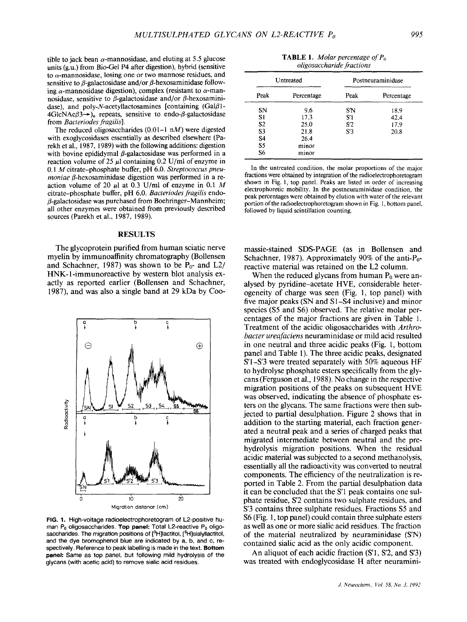tible to jack bean a-mannosidase, and eluting at *5.5* glucose units (pa.) from Bio-Gel **P4** after digestion), hybrid (sensitive to  $\alpha$ -mannosidase, losing one or two mannose residues, and sensitive to  $\beta$ -galactosidase and/or  $\beta$ -hexosaminidase following  $\alpha$ -mannosidase digestion), complex (resistant to  $\alpha$ -mannosidase, sensitive to  $\beta$ -galactosidase and/or  $\beta$ -hexosaminidase), and poly-N-acetyllactosamines [containing  $(Ga\beta1 4 \text{GlcNAC} \beta \rightarrow$ , repeats, sensitive to endo- $\beta$ -galactosidase from *Bacteriodes fragilis].* 

The reduced oligosaccharides  $(0.01-1 \text{ n})$  were digested with exoglycosidases essentially as described elsewhere (Parekh et al., 1987, 1989) with the following additions: digestion with bovine epididymal  $\beta$ -galactosidase was performed in a reaction volume of 25 **pl** containing 0.2 U/ml of enzyme in 0.1 *M* citrate-phosphate buffer, pH 6.0. *Streptococcus pneu* $monic \beta$ -hexosaminidase digestion was performed in a reaction volume of 20  $\mu$ l at 0.3 U/ml of enzyme in 0.1 M citrate-phosphate buffer, pH 6.0. *Bacteriodes fragilis* endo-  $\beta$ -galactosidase was purchased from Boehringer-Mannheim; all other enzymes were obtained from previously described sources (Parekh et al., 1987, 1989).

### **RESULTS**

The glycoprotein purified from human sciatic nerve myelin by immunoaffinity chromatography (Bollensen and Schachner, 1987) was shown to be  $P_0$ - and L2/ **HNK-1-immunoreactive by western blot analysis ex**actly as reported earlier (Bollensen and Schachner, 1987), and was also a single band at 29 kDa by Coo-



**FIG. 1.** High-voltage radioelectrophoretogram of L2-positive human **Pa** oligosaccharides. **Top panel:** Total L2-reactive **Po** oligosaccharides. The migration positions of [<sup>3</sup>H]lactitol, [<sup>3</sup>H]sialyllactitol, and the dye bromophenol blue are indicated by a, b, and c, respectively. Reference to peak labelling is made in the text. **Bottom panel:** Same as *top* panel, but following mild hydrolysis **of** the glycans (with acetic acid) to remove sialic acid residues.

| <b>TABLE 1.</b> Molar percentage of $P_0$ |  |
|-------------------------------------------|--|
| <i>oligosaccharide fractions</i>          |  |

| Untreated      |            | Postneuraminidase |            |
|----------------|------------|-------------------|------------|
| Peak           | Percentage | Peak              | Percentage |
| <b>SN</b>      | 9.6        | S'N               | 18.9       |
| S1             | 17.3       | S'1               | 42.4       |
| S <sub>2</sub> | 25.0       | S'2               | 17.9       |
| S <sub>3</sub> | 21.8       | S'3               | 20.8       |
| S <sub>4</sub> | 26.4       |                   |            |
| S5             | minor      |                   |            |
| S <sub>6</sub> | minor      |                   |            |

In the untreated condition, the molar proportions of the major fractions were obtained by integration of the radioelectrophoretogram shown in Fig. 1, top panel. Peaks are listed in order of increasing electrophoretic mobility. In the postneuraminidase condition, the peak percentages were obtained by elution with water of the relevant portion of the radioelectrophoretogram shown in Fig. 1, bottom panel, followed by liquid scintillation counting.

massie-stained SDS-PAGE (as in Bollensen and Schachner, 1987). Approximately 90% of the anti- $P_0$ reactive material was retained on the L2 column.

When the reduced glycans from human  $P_0$  were analysed by pyridine-acetate HVE, considerable heterogeneity of charge was seen (Fig. 1, top panel) with five major peaks (SN and S1-S4 inclusive) and minor species **(S5** and **S6)** observed. The relative molar percentages of the major fractions are given in Table 1. Treatment of the acidic oligosaccharides with *Arthrobucter ureufuciens* neuraminidase or mild acid resulted in one neutral and three acidic peaks (Fig. 1, bottom panel and Table 1). The three acidic peaks, designated S'l-S'3 were treated separately with 50% aqueous HF to hydrolyse phosphate esters specifically from the glycans (Ferguson et al., 1988). No change in the respective migration positions of the peaks on subsequent HVE was observed, indicating the absence of phosphate esters on the glycans. The same fractions were then subjected to partial desulphation. Figure 2 shows that in addition to the starting material, each fraction generated a neutral peak and a series of charged peaks that migrated intermediate between neutral and the prehydrolysis migration positions. When the residual acidic material was subjected to a second methanolysis, essentially all the radioactivity was converted to neutral components. The efficiency of the neutralization is reported in Table 2. From the partial desulphation data it can be concluded that the S1 peak contains one **sul**phate residue, **S'2** contains two sulphate residues, and **S'3** contains three sulphate residues. Fractions *S5* and **S6** (Fig. 1, top panel) could contain three sulphate esters as well as one or more sialic acid residues. The fraction of the material neutralized by neuraminidase **(SN)**  contained sialic acid as the only acidic component.

An aliquot of each acidic fraction (S'1, S'2, and S'3) was treated with endoglycosidase H after neuramini-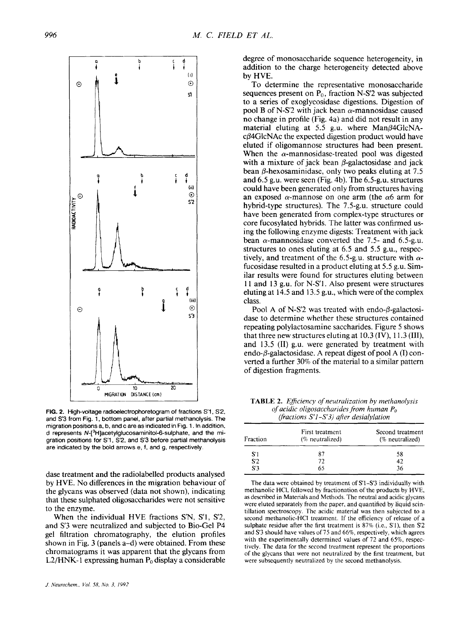

FIG. 2. High-voltage radioelectrophoretogram of fractions S'1, S'2, **and** *S3* **from Fig.** 1, **bottom panel, after partial methanolysis. The migration positions a. b, and c are as indicated in Fig. 1. In addition. d represents N-[3H]acetylglucosaminitol-6-sulphate, and the migration positions for S'1** , 5'2, **and S'3 before partial methanolysis are indicated by the bold arrows e, f, and g, respectively.** 

dase treatment and the radiolabelled products analysed by **HVE.** No differences in the migration behaviour of the glycans was observed (data not shown), indicating that these sulphated oligosaccharides were not sensitive to the enzyme.

When the individual HVE fractions **S'N, S'l,** S'2, and S'3 were neutralized and subjected to Bio-Gel **P4**  gel filtration chromatography, the elution profiles shown in Fig. **3** (panels a-d) were obtained. From these chromatograms it was apparent that the glycans from L2/HNK-1 expressing human  $P_0$  display a considerable degree of monosaccharide sequence heterogeneity, in addition to the charge heterogeneity detected above **by HVE.** 

To determine the representative monosaccharide sequences present on Po, fraction **N-S'2** was subjected to a series of exoglycosidase digestions. Digestion of pool B of N-S<sup>'2</sup> with jack bean  $\alpha$ -mannosidase caused no change in profile (Fig. 4a) and did not result in any material eluting at 5.5 g.u. where  $Man\beta 4GlcNA$  $c\beta$ 4GlcNAc the expected digestion product would have eluted if oligomannose structures had been present. When the  $\alpha$ -mannosidase-treated pool was digested with a mixture of jack bean  $\beta$ -galactosidase and jack bean  $\beta$ -hexosaminidase, only two peaks eluting at 7.5 and *6.5* g.u. were seen (Fig. 4b). The 6.5-g.u. structures could have been generated only from structures having an exposed a-mannose on one arm (the *a6* arm for hybrid-type structures). The 7.5-g.u. structure could have been generated from complex-type structures or core fucosylated hybrids. The latter was confirmed using the following enzyme digests: Treatment with jack bean  $\alpha$ -mannosidase converted the 7.5- and 6.5-g.u. structures to ones eluting at 6.5 and *5.5* g.u., respectively, and treatment of the 6.5-g.u. structure with *a*fucosidase resulted in a product eluting at 5.5 g.u. Similar results were found for structures eluting between 11 and 13 g.u. for N-S'l. **Also** present were structures eluting at 14.5 and 13.5 g.u., which were of the complex class.

Pool A of N-S<sup>'2</sup> was treated with endo- $\beta$ -galactosidase to determine whether these structures contained repeating polylactosarnine saccharides. Figure 5 shows that three new structures eluting at 10.3 **(IV),** 1 1.3 **(111),**  and 13.5 **(11)** g.u. were generated by treatment with endo-P-galactosidase. **A** repeat digest of pool **A (I)** converted a further 30% of the material to a similar pattern of digestion fragments.

**TABLE 2.** *Eficiency of neutrulization by methanolysis of acidic oligosucchurides from human Po (fractions S'1-S'3) after desialylation* 

| Fraction | First treatment<br>(% neutralized) | Second treatment<br>(% neutralized) |
|----------|------------------------------------|-------------------------------------|
| S′1      | 87                                 | 58                                  |
| S2       | 72                                 | 42                                  |
| S'3      | 65                                 | 36                                  |

The data were obtained by treatment of  $S1-S3$  individually with methanolic HCI, followed by fractionation of the products by HVE, **as** described in Materials and Methods. The neutral and acidic glycans were eluted separately from the paper, and quantified by liquid scintillation spectroscopy. The acidic material was then subjected to a second methanolic-HCI treatment. If the efficiency of release of a sulphate residue after the first treatment is 87% (i.e., S'l), then *S2*  and **s'3** should have values of 75 and 66%, respectively, which agrees with the experimentally determined values of 72 and *65%,* respectively. The data for the second treatment represent the proportions of the glycans that were not neutralized **by** the first treatment, but were subsequently neutralized by the second methanolysis.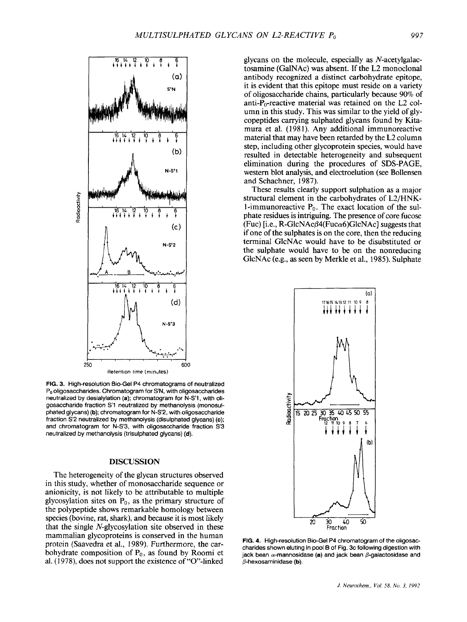

FIG. **3.** High-resolution Bio-Gel P4 chromatograms of neutralized **Po** oligosaccharides. Chromatogram for S'N, with oligosaccharides neutralized by desialylation (a); chromatogram for N-S'1 , with oligosaccharide fraction **S1** neutralized by methanolysis (monosulphated glycans) (b); chromatogram for N-S'2, with oligosaccharide fraction S'2 neutralized by methanolysis (disulphated glycans) (c); and chromatogram for N-S'3, with oligosaccharide fraction S'3 neutralized by methanolysis (trisulphated glycans) **(d).** 

## **DISCUSSION**

The heterogeneity of the glycan structures observed in this study, whether of monosaccharide sequence or anionicity, is not likely to be attributable to multiple glycosylation sites on  $P_0$ , as the primary structure of the polypeptide shows remarkable homology between species (bovine, rat, shark), and because it is most likely that the single N-glycosylation site observed in these mammalian glycoproteins is conserved in the human protein (Saavedra et al., 1989). Furthermore, the carbohydrate composition of  $P_0$ , as found by Roomi et al. (1978), does not support the existence of "0'-linked

glycans on the molecule, especially as N-acetylgalactosamine (GalNAc) was absent. If the L2 monoclonal antibody recognized a distinct carbohydrate epitope, it is evident that this epitope must reside on a variety of oligosaccharide chains, particularly because 90% of anti- $P_0$ -reactive material was retained on the L2 column in this study. This was similar to the yield of glycopeptides carrying sulphated glycans found by Kitamura et al. (1981). Any additional immunoreactive material that may have been retarded by the L2 column step, including other glycoprotein species, would have resulted in detectable heterogeneity and subsequent elimination during the procedures of **SDS-PAGE,**  western blot analysis, and electroelution (see Bollensen and Schachner, 1987).

These results clearly support sulphation as a major structural element in the carbohydrates of L2/HNK-1-immunoreactive  $P_0$ . The exact location of the sulphate residues is intriguing. The presence of core fucose (Fuc) [i.e., R-GlcNAc $\beta$ 4(Fuc $\alpha$ 6)GlcNAc] suggests that if one of the sulphates is on the core, then the reducing terminal GlcNAc would have to be disubstituted or the sulphate would have to be on the nonreducing GlcNAc (e.g., as seen by Merkle et al., 1985). Sulphate



FIG. 4. High-resolution Bio-Gel P4 chromatogram of the oligosaccharides shown eluting in pool B of Fig. 3c following digestion with jack bean  $\alpha$ -mannosidase (a) and jack bean  $\beta$ -galactosidase and  $\beta$ -hexosaminidase (b).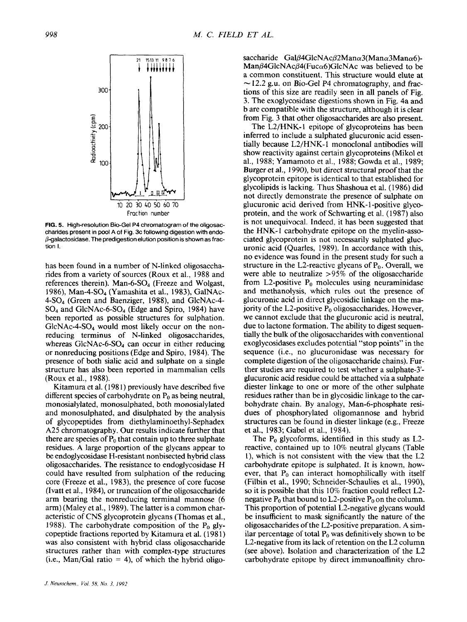

**FIG. 5. High-resolution Bio-Gel P4 chromatogram of the oligosaccharides present in** pool **A of Fig. 3c following digestion with endo- @-galactosidase. The predigestion elution position is shown as fraction I.** 

has been found in a number of N-linked oligosaccharides from a variety of sources (Roux et al., 1988 and references therein). Man-6- $SO<sub>4</sub>$  (Freeze and Wolgast, 1986), Man-4-SO4 (Yamashita et al., 1983), GalNAc-4-S04 (Green and Baenziger, 1988), and GlcNAc-4-  $SO_4$  and GlcNAc-6- $SO_4$  (Edge and Spiro, 1984) have been reported as possible structures for sulphation. GlcNAc-4-S04 would most likely occur on the nonreducing terminus of N-linked oligosaccharides, whereas GlcNAc-6-SO<sub>4</sub> can occur in either reducing or nonreducing positions (Edge and Spiro, 1984). The presence of both sialic acid and sulphate on a single structure has also been reported in mammalian cells (Roux et al., 1988).

Kitamura et al. **(1** 98 1) previously have described five different species of carbohydrate on  $P_0$  as being neutral, rnonosialylated, monosulphated, both monosialylated and monosulphated, and disulphated by the analysis of glycopeptides from **diethylaminoethyl-Sephadex**  A25 chromatography. Our results indicate further that there are species of  $P_0$  that contain up to three sulphate residues. A large proportion of the glycans appear to be endoglycosidase H-resistant nonbisected hybrid class oligosaccharides. The resistance to endoglycosidase H could have resulted from sulphation of the reducing core (Freeze et al., 1983), the presence of core fucose (Ivatt et al., 1984), or truncation of the oligosaccharide arm bearing the nonreducing terminal mannose (6 arm) (Maley et al., 1989). The latter is a common characteristic of CNS glycoprotein glycans (Thomas et al., 1988). The carbohydrate composition of the  $P_0$  glycopeptide fractions reported by Kitamura et al. ( 198 1) was also consistent with hybrid class oligosaccharide structures rather than with complex-type structures  $(i.e., Man/Gal ratio = 4)$ , of which the hybrid oligo-

al., 1988; Yamamoto et al., 1988; Gowda et al., 1989; Burger et al., 1990), but direct structural proof that the glycoprotein epitope **is** identical to that established for glycolipids is lacking. Thus Shashoua et al. (1986) did

not directly demonstrate the presence of sulphate on glucuronic acid derived from HNK- 1 -positive glycoprotein, and the work of Schwarting et al. (1987) also is not unequivocal. Indeed, it has been suggested that the HNK- 1 carbohydrate epitope on the myelin-associated glycoprotein is not necessarily sulphated glucuronic acid (Quarles, 1989). In accordance with this, no evidence was found in the present study for such a structure in the L2-reactive glycans of  $P_0$ . Overall, we were able to neutralize >95% of the oligosaccharide from L2-positive  $P_0$  molecules using neuraminidase and methanolysis, which rules out the presence of glucuronic acid in direct glycosidic linkage on the majority of the L2-positive  $P_0$  oligosaccharides. However, we cannot exclude that the glucuronic acid is neutral, due to lactone formation. The ability to digest sequentially the bulk of the oligosaccharides with conventional exoglycosidases excludes potential "stop points" in the sequence (i.e., no glucuronidase was necessary for complete digestion of the oligosaccharide chains). Further studies are required to test whether a sulphate-3' glucuronic acid residue could be attached via a sulphate diester linkage to one or more of the other sulphate residues rather than be in glycosidic linkage to the carbohydrate chain. By analogy, Man-6-phosphate residues of phosphorylated oligomannose and hybrid structures can be found in diester linkage (e.g., Freeze et al., 1983; Gabel et **al.,** 1984).

saccharide Gal $\beta$ 4GlcNAc $\beta$ 2Man $\alpha$ 3(Man $\alpha$ 3Man $\alpha$ 6)- $ManB4GlcNAcB4(Fucc<sub>0</sub>)(GlcNAc)$  was believed to be a common constituent. This structure would elute at  $\sim$  12.2 g.u. on Bio-Gel P4 chromatography, and fractions of this size are readily seen in all panels of Fig. 3. The exoglycosidase digestions shown in Fig. 4a and b are compatible with the structure, although it is clear from Fig. 3 that other oligosaccharides are also present. The L2/HNK-l epitope of glycoproteins has been inferred to include a sulphated glucuronic acid essentially because L2/HNK-1 monoclonal antibodies will show reactivity against certain glycoproteins (Mikol et

The Po glycoforms, identified in this study as **L2**  reactive, contained up to 10% neutral glycans (Table I), which is not consistent with the view that the L2 carbohydrate epitope is sulphated. It *is* known, however, that  $P_0$  can interact homophilically with itself (Filbin et al., 1990; Schneider-Schaulies et al., 1990), so it is possible that this 10% fraction could reflect L2 negative  $P_0$  that bound to L2-positive  $P_0$  on the column. This proportion of potential L2-negative glycans would be insufficient to mask significantly the nature of the oligosaccharides of the L2-positive preparation. **A** similar percentage of total  $P_0$  was definitively shown to be L2-negative from its lack of retention on the L2 column (see above). Isolation and characterization of the L2 carbohydrate epitope by direct immunoaffinity chro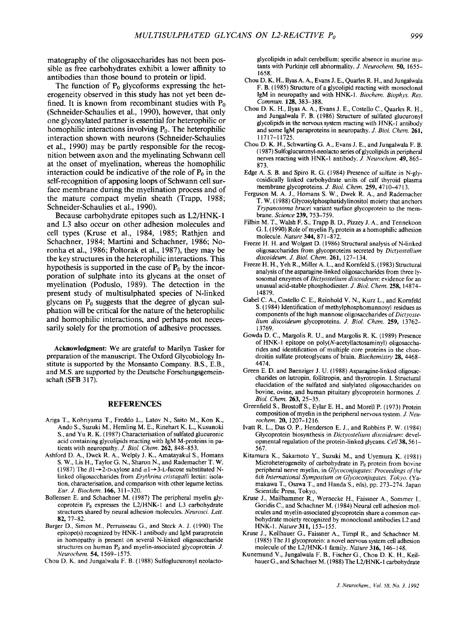matography of the oligosaccharides has not been possible as free carbohydrates exhibit a lower affinity to antibodies than those bound to protein or lipid.

The function of  $P_0$  glycoforms expressing the heterogeneity observed in this study has not yet been defined. It is known from recombinant studies with  $P_0$ (Schneider-Schaulies et al., 1990), however, that only one glycosylated partner is essential for heterophilic or homophilic interactions involving  $P_0$ . The heterophilic interaction shown with neurons (Schneider-Schaulies et al., 1990) may be partly responsible for the recognition between axon and the myelinating Schwann cell at the onset of myelination, whereas the homophilic interaction could be indicative of the role of  $P_0$  in the self-recognition of apposing loops of Schwann cell surface membrane during the myelination process and of the mature compact myelin sheath (Trapp, 1988; Schneider-Schaulies et al., 1990).

Because carbohydrate epitopes such as L2/HNK- 1 and L3 also occur on other adhesion molecules and cell types (Kruse et al., 1984, 1985; Rathjen and Schachner, 1984; Martini and Schachner, 1986; Noronha et d., 1986; Poltorak et al., 1987), they may be the key structures in the heterophilic interactions. This hypothesis is supported in the case of  $P_0$  by the incorporation of sulphate into its glycans at the onset of myelination (Poduslo, 1989). The detection in the present study of multisulphated species of N-linked glycans on  $P_0$  suggests that the degree of glycan sulphation will be critical for the nature of the heterophilic and homophilic interactions, and perhaps not necessarily solely for the promotion of adhesive processes.

**Acknowledgment:** We are grateful to Marilyn Tasker for preparation of the manuscript. The Oxford Glycobiology Institute **is** supported by the Monsanto Company. **B.S.,** E.B., and M.S. are supported by the Deutsche Forschungsgemeinschaft **(SFB** *3* 17).

## **REFERENCES**

- Ariga T., Kohriyama T., Freddo L., Latov N., Saito M., Kon K., Ando **S.,** Suzuki M., Hemling M. E., Rinehart K. L., Kusunoki **S.,** and **Yu** R. K. (1987) Characterisation of sulfated glucuronic acid containing glycolipids reacting with **IgM** M-proteins in patients with neuropathy. *J. Biol. Chem.* 262, 848-853.
- Ashford D. **A,,** Dwek R. A,, Welply J. K., Amatayakul **S.,** Homans **S.** W., Lis H., Taylor G. N., Sharon N., and Rademacher T. W. (1987) The  $\beta$ 1 $\rightarrow$ 2-D-xylose and  $\alpha$ 1 $\rightarrow$ 3-L-fucose substituted Nlinked oligosaccharides from *Erythrina cristagalli* lectin: isolation, characterisation, and comparison with other legume lectins. *Eur. J. Biochem.* 166, 31 1-320.
- Bollensen E. and Schachner M. (1987) The peripheral myelin glycoprotein Po expresses the L2/HNK-I and L3 carbohydrate structures shared by neural adhesion molecules. *Neurosci. Lett.*  82, 77-82.
- Burger D., Simon M., Perruisseau G., and Steck A. J. (1990) The epitope(s) recognized by HNK- **1** antibody and IgM paraprotein in homopathy is present on several N-linked oligosaccharide structures on human P<sub>0</sub> and myelin-associated glycoprotein. *J. Neurochem.* **54,** 1569-1575.

Chou D. K. and Jungalwala F. B. (1988) Sulfoglucuronyl neolacto-

glycolipids in adult cerebellum: specific absence in murine mutants with Purkinje cell abnormality. *J. Neurochem.* **50,** 1655- 1658.

- Chou D. K. H., Ilyas **A.** A., Evans J. E., Quarles R. H., and Jungalwala F. B. (1985) Structure of a glycolipid reacting with monoclonal IgM in neuropathy and with HNK-1. *Biochem. Biophys. Res. Commun.* 128,383-388.
- Chou **D.** K. H., Ilyas **A. A.,** Evans J. **E.,** Costello C., Quarles R. H., and Jungalwala F. B. (1986) Structure of sulfated glucuronyl glycolipids in the nervous system reacting with HNK-I antibody and some IgM paraproteins in neuropathy. *J. Biol. Chem.* 261, 11717-1 1725.
- Chou D. K. H., Schwarting G. **A.,** Evans J. E., and Jungalwala F. B. (1 987) Sulfoglucuronyl-neolacto series of glycolipids in peripheral nerves reacting with HNK-I antibody. *J. Neurochem.* **49,** 865- 873.
- Edge **A. S.** B. and Spiro R. G. (1984) Presence of sulfate in N-glycosidically linked carbohydrate units of calf thyroid plasma membrane glycoproteins. *J. Biol. Chem.* 259,47 10-47 13.
- Ferguson M. **A.** J., Homans **S.** W., Dwek R. **A.,** and Rademacher T. W. ( 1988) Glycosylphosphatidylinositol moiety that anchors *Trypanosoma brucei* variant surface glycoprotein to the membrane. *Science* 239,753-759.
- Filbin M. T., Walsh F. **S.,** Trapp B. D., Pizzey **J. A.,** and Tennekoon G. I. (1990) Role of myelin  $P_0$  protein as a homophilic adhesion molecule. *Nature* 344, 871-872.
- Freeze H. H. and Wolgast D. (1986) Structural analysis of N-linked oligosaccharides from glycoproteins secreted by *Dictyostelium discoideum. J. Biol. Chem.* 261, 127-134.
- Freeze H. H., Yeh R., Miller **A.** L., and Kornfeld **S.** (1983) Structural analysis of the asparagine-linked oligosaccharides from three lysosomal enzymes of *Dictyostelium discoideum:* evidence for an unusual acid-stable phosphodiester. *J. Biol. Chem.* 258, 14874- 14879.
- Gabel *C.* **A.,** Costello C. E., Reinhold **V.** N., Kurz L., and Kornfeld S. (1984) Identification of methylphosphomannosyl residues as components of the high mannose oligosaccharides of *Dictyostelium discoideum* glycoproteins. *J. Biol. Chem.* **259,** 13762- 13769.
- Gowda D. C., Margolis R. U., and Margolis R. K. (1989) Presence of HNK- 1 epitope on **poly(N-acetyllactosaminyl)** oligosaccharides and identification of multiple core proteins in the chondroitin sulfate proteoglycans of brain. *Biochemistry* 28, 4468-4474.
- Green E. D. and Baenziger **J.** U. (1988) Asparagine-linked oligosaccharides on lutropin, follitropin, and thyrotropin. I. Structural elucidation of the sulfated and sialylated oligosaccharides on bovine, ovine, and human pituitary glycoprotein hormones. *J. Bid. Chem.* 263, 25-35.
- Greenfield **S.,** Brostoff **S.,** Eylar E. H., and Morel1 P. (1973) Protein composition of myelin in the peripheral nervous system. *J. Neurochem.* 20, 1207- 12 16.
- Ivatt R. L., Das 0. P., Henderson E. J., and Robbins P. **W.** (1984) Glycoprotein biosynthesis in *Dictyostelium discoideum:* developmental regulation of the protein-linked glycans. *Cell* 38,56 1- 567.
- Kitamura K., Sakamoto **Y.,** Suzuki M., and Uyemura K. (1981) Microheterogeneity of carbohydrate in  $P_0$  protein from bovine peripheral nerve myelin, in *Glycoconjugates: Proceedings of the 6th International Symposium on Glycoconjugates. Tokyo.* (Yamakawa T., Osawa T., and Handa **S.,** eds), pp. 273-274. Japan Scientific Press, Tokyo.
- Kruse J., Mailhammer R., Wernecke **H.,** Faissner **A.,** Sommer **I.,**  Goridis C., and Schachner M. (1984) Neural cell adhesion molecules and myelin-associated glycoprotein share a common carbohydrate moiety recognized by monoclonal antibodies L2 and HNK-1. *Nature311,* 153-155.
- Kruse J., Keilhauer *G.,* Faissner **A,,** Timpl R., and Schachner M. (1985) The **J1** glycoprotein: a novel nervous system cell adhesion molecule of the L2/HNK-I family. *Nature* 316, 146-148.
- Kunemund **V.,** Jungalwala F. B., Fischer G., Chou D. K. H., Keilhauer G., and Schachner M. (1988) The L2/HNK- 1 carbohydrate